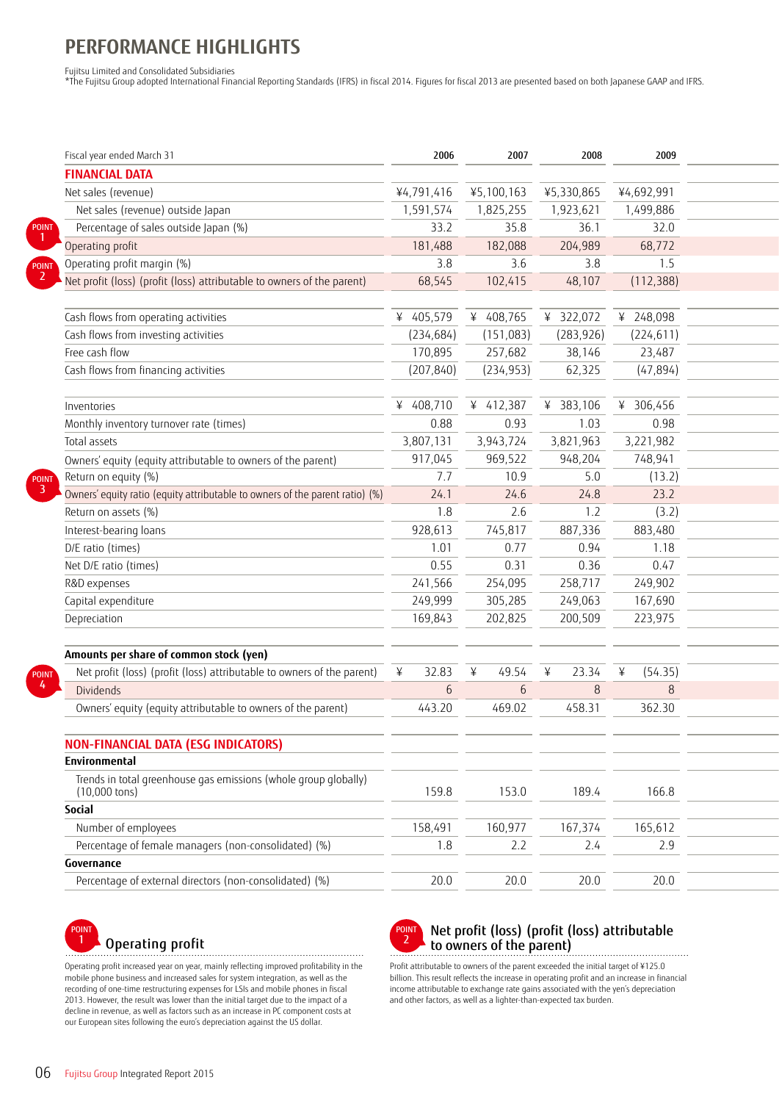# **PERFORMANCE HIGHLIGHTS**

Fujitsu Limited and Consolidated Subsidiaries

\*The Fujitsu Group adopted International Financial Reporting Standards (IFRS) in fiscal 2014. Figures for fiscal 2013 are presented based on both Japanese GAAP and IFRS.

| Fiscal year ended March 31                                                                 | 2006                       | 2007              | 2008         | 2009       |
|--------------------------------------------------------------------------------------------|----------------------------|-------------------|--------------|------------|
| <b>FINANCIAL DATA</b>                                                                      |                            |                   |              |            |
| Net sales (revenue)                                                                        | ¥4,791,416                 | ¥5,100,163        | ¥5,330,865   | ¥4,692,991 |
| Net sales (revenue) outside Japan                                                          | 1,591,574                  | 1,825,255         | 1,923,621    | 1,499,886  |
| Percentage of sales outside Japan (%)<br>POINT                                             | 33.2                       | 35.8              | 36.1         | 32.0       |
| Operating profit                                                                           | 181,488                    | 182,088           | 204,989      | 68,772     |
| Operating profit margin (%)                                                                | 3.8                        | 3.6               | 3.8          | 1.5        |
| Net profit (loss) (profit (loss) attributable to owners of the parent)                     | 68,545                     | 102,415           | 48,107       | (112, 388) |
|                                                                                            |                            |                   |              |            |
| Cash flows from operating activities                                                       | ¥ 405,579                  | 408,765           | 322,072      | 248,098    |
| Cash flows from investing activities                                                       | (234, 684)                 | (151,083)         | (283, 926)   | (224, 611) |
| Free cash flow                                                                             | 170,895                    | 257,682           | 38,146       | 23,487     |
| Cash flows from financing activities                                                       | (207, 840)                 | (234, 953)        | 62,325       | (47, 894)  |
|                                                                                            |                            |                   |              |            |
| Inventories                                                                                | ¥ 408,710                  | 412,387<br>$\vee$ | 383,106<br>¥ | ¥ 306,456  |
| Monthly inventory turnover rate (times)                                                    | 0.88                       | 0.93              | 1.03         | 0.98       |
| Total assets                                                                               | 3,807,131                  | 3,943,724         | 3,821,963    | 3,221,982  |
| Owners' equity (equity attributable to owners of the parent)                               | 917,045                    | 969,522           | 948,204      | 748,941    |
| Return on equity (%)<br><b>POINT</b>                                                       | 7.7                        | 10.9              | 5.0          | (13.2)     |
| Owners' equity ratio (equity attributable to owners of the parent ratio) (%)               | 24.1                       | 24.6              | 24.8         | 23.2       |
| Return on assets (%)                                                                       | 1.8                        | 2.6               | 1.2          | (3.2)      |
| Interest-bearing loans                                                                     | 928,613                    | 745,817           | 887,336      | 883,480    |
| D/E ratio (times)                                                                          | 1.01                       | 0.77              | 0.94         | 1.18       |
| Net D/E ratio (times)                                                                      | 0.55                       | 0.31              | 0.36         | 0.47       |
| R&D expenses                                                                               | 241,566                    | 254,095           | 258,717      | 249,902    |
| Capital expenditure                                                                        | 249,999                    | 305,285           | 249,063      | 167,690    |
| Depreciation                                                                               | 169,843                    | 202,825           | 200,509      | 223,975    |
|                                                                                            |                            |                   |              |            |
| Amounts per share of common stock (yen)                                                    |                            |                   |              |            |
| Net profit (loss) (profit (loss) attributable to owners of the parent)<br><b>POINT</b>     | 32.83<br>$\mathbf{\Sigma}$ | 49.54             | 23.34        | (54.35)    |
| Dividends                                                                                  | 6                          | 6                 | 8            | 8          |
| Owners' equity (equity attributable to owners of the parent)                               | 443.20                     | 469.02            | 458.31       | 362.30     |
|                                                                                            |                            |                   |              |            |
| <b>NON-FINANCIAL DATA (ESG INDICATORS)</b>                                                 |                            |                   |              |            |
| Environmental                                                                              |                            |                   |              |            |
| Trends in total greenhouse gas emissions (whole group globally)<br>$(10,000 \text{ tons})$ | 159.8                      | 153.0             | 189.4        | 166.8      |
| Social                                                                                     |                            |                   |              |            |
| Number of employees                                                                        | 158,491                    | 160,977           | 167,374      | 165,612    |
| Percentage of female managers (non-consolidated) (%)                                       | 1.8                        | 2.2               | 2.4          | 2.9        |
| Governance                                                                                 |                            |                   |              |            |
| Percentage of external directors (non-consolidated) (%)                                    | 20.0                       | 20.0              | 20.0         | 20.0       |
|                                                                                            |                            |                   |              |            |



Operating profit increased year on year, mainly reflecting improved profitability in the mobile phone business and increased sales for system integration, as well as the recording of one-time restructuring expenses for LSIs and mobile phones in fiscal 2013. However, the result was lower than the initial target due to the impact of a decline in revenue, as well as factors such as an increase in PC component costs at our European sites following the euro's depreciation against the US dollar.



#### Operating profit  $O$  profit (loss) (profit (loss) attributable to owners of the parent) to owners of the parent)

Profit attributable to owners of the parent exceeded the initial target of ¥125.0 billion. This result reflects the increase in operating profit and an increase in financial income attributable to exchange rate gains associated with the yen's depreciation and other factors, as well as a lighter-than-expected tax burden.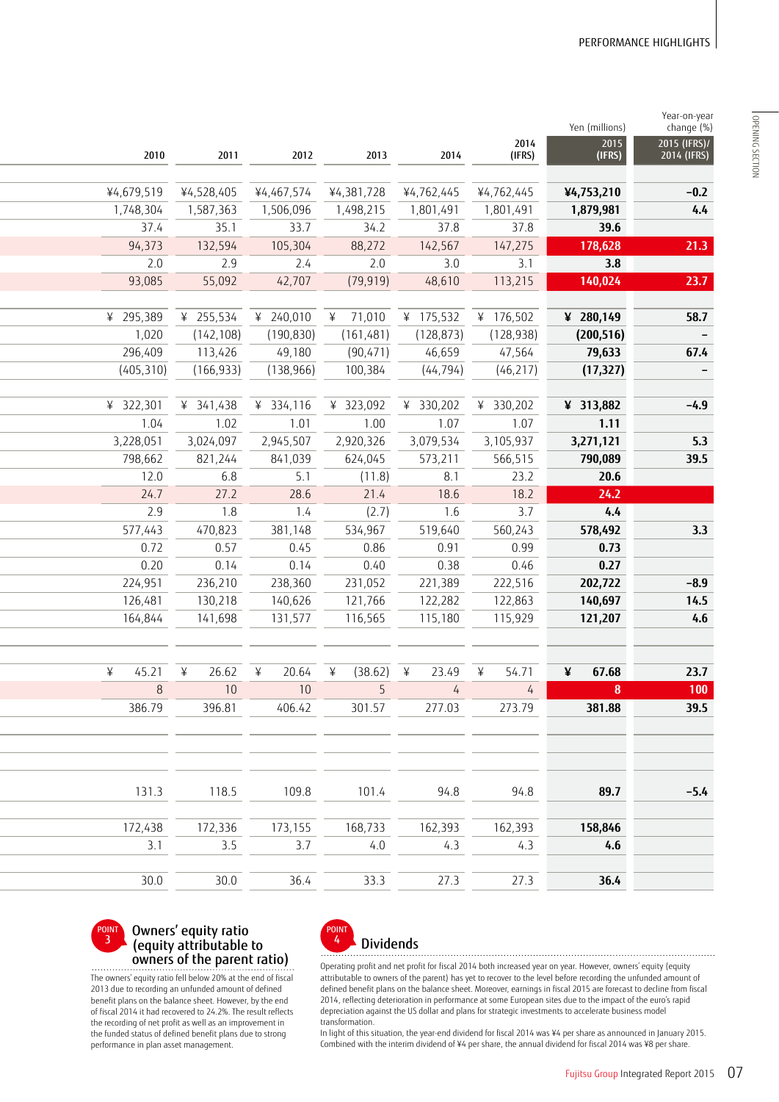$\mathbf{y}$ 

| 2014<br>2015<br>2010<br>2011<br>2012<br>2013<br>(IFRS)<br>2014<br>(IFRS)<br>¥4,679,519<br>¥4,528,405<br>¥4,467,574<br>¥4,381,728<br>¥4,762,445<br>¥4,762,445<br>¥4,753,210<br>1,587,363<br>1,498,215<br>1,748,304<br>1,506,096<br>1,801,491<br>1,801,491<br>1,879,981<br>37.8<br>37.8<br>37.4<br>35.1<br>33.7<br>34.2<br>39.6<br>147,275<br>94,373<br>132,594<br>88,272<br>142,567<br>105,304<br>178,628<br>3.8<br>2.0<br>2.0<br>3.0<br>3.1<br>2.9<br>2.4<br>42,707<br>(79, 919)<br>48,610<br>113,215<br>140,024<br>93,085<br>55,092<br>¥ 255,534<br>¥ 240,010<br>¥ 71,010<br>¥ 175,532<br>¥ 295,389<br>¥ 176,502<br>¥ 280,149<br>(142, 108)<br>(190, 830)<br>(161, 481)<br>(128, 873)<br>1,020<br>(128, 938)<br>(200, 516)<br>296,409<br>113,426<br>49,180<br>(90, 471)<br>46,659<br>47,564<br>79,633<br>(166, 933)<br>100,384<br>(44, 794)<br>(46, 217)<br>(405, 310)<br>(138, 966)<br>(17, 327)<br>¥ 322,301<br>¥ 341,438<br>¥ 334,116<br>¥ 323,092<br>¥ 330,202<br>¥ 330,202<br>¥ 313,882<br>1.04<br>1.02<br>1.01<br>1.00<br>1.07<br>1.07<br>1.11<br>2,920,326<br>3,079,534<br>3,228,051<br>3,024,097<br>2,945,507<br>3,105,937<br>3,271,121<br>573,211<br>798,662<br>821,244<br>841,039<br>624,045<br>566,515<br>790,089<br>12.0<br>(11.8)<br>23.2<br>20.6<br>6.8<br>5.1<br>8.1<br>18.2<br>24.7<br>27.2<br>28.6<br>21.4<br>24.2<br>18.6<br>2.9<br>1.8<br>(2.7)<br>1.6<br>3.7<br>4.4<br>1.4<br>578,492<br>577,443<br>470,823<br>381,148<br>534,967<br>519,640<br>560,243<br>0.72<br>0.73<br>0.57<br>0.45<br>0.86<br>0.91<br>0.99<br>0.20<br>0.14<br>0.14<br>0.40<br>0.38<br>0.27<br>0.46<br>231,052<br>221,389<br>202,722<br>224,951<br>236,210<br>238,360<br>222,516<br>130,218<br>121,766<br>122,282<br>122,863<br>140,697<br>126,481<br>140,626<br>116,565<br>115,180<br>164,844<br>141,698<br>131,577<br>115,929<br>121,207<br>(38.62)<br>23.49<br>54.71<br>67.68<br>¥<br>45.21<br>$\angle$<br>26.62<br>20.64<br>¥<br>$\angle$<br>$\frac{1}{2}$<br>¥<br>$\frac{1}{2}$<br>$8\phantom{1}$<br>10 <sup>°</sup><br>10<br>5<br>$\boldsymbol{8}$<br>$\overline{4}$<br>386.79<br>396.81<br>406.42<br>301.57<br>277.03<br>273.79<br>381.88<br>118.5<br>109.8<br>101.4<br>94.8<br>94.8<br>131.3<br>89.7<br>172,438<br>172,336<br>173,155<br>168,733<br>162,393<br>162,393<br>158,846<br>3.5<br>3.7<br>3.1<br>4.3<br>4.0<br>4.3<br>4.6<br>30.0<br>33.3<br>27.3<br>27.3<br>36.4<br>30.0<br>36.4 | real-on-year<br>change <sup>(%)</sup> | Yen (millions) |  |  |  |
|---------------------------------------------------------------------------------------------------------------------------------------------------------------------------------------------------------------------------------------------------------------------------------------------------------------------------------------------------------------------------------------------------------------------------------------------------------------------------------------------------------------------------------------------------------------------------------------------------------------------------------------------------------------------------------------------------------------------------------------------------------------------------------------------------------------------------------------------------------------------------------------------------------------------------------------------------------------------------------------------------------------------------------------------------------------------------------------------------------------------------------------------------------------------------------------------------------------------------------------------------------------------------------------------------------------------------------------------------------------------------------------------------------------------------------------------------------------------------------------------------------------------------------------------------------------------------------------------------------------------------------------------------------------------------------------------------------------------------------------------------------------------------------------------------------------------------------------------------------------------------------------------------------------------------------------------------------------------------------------------------------------------------------------------------------------------------------------------------------------------------------------------------------------------------------------------------------------------------------------------------------------------------------------------------------------------------------------------------------------------------------------------|---------------------------------------|----------------|--|--|--|
|                                                                                                                                                                                                                                                                                                                                                                                                                                                                                                                                                                                                                                                                                                                                                                                                                                                                                                                                                                                                                                                                                                                                                                                                                                                                                                                                                                                                                                                                                                                                                                                                                                                                                                                                                                                                                                                                                                                                                                                                                                                                                                                                                                                                                                                                                                                                                                                             | 2015 (IFRS)/<br>2014 (IFRS)           |                |  |  |  |
|                                                                                                                                                                                                                                                                                                                                                                                                                                                                                                                                                                                                                                                                                                                                                                                                                                                                                                                                                                                                                                                                                                                                                                                                                                                                                                                                                                                                                                                                                                                                                                                                                                                                                                                                                                                                                                                                                                                                                                                                                                                                                                                                                                                                                                                                                                                                                                                             |                                       |                |  |  |  |
|                                                                                                                                                                                                                                                                                                                                                                                                                                                                                                                                                                                                                                                                                                                                                                                                                                                                                                                                                                                                                                                                                                                                                                                                                                                                                                                                                                                                                                                                                                                                                                                                                                                                                                                                                                                                                                                                                                                                                                                                                                                                                                                                                                                                                                                                                                                                                                                             | $-0.2$                                |                |  |  |  |
|                                                                                                                                                                                                                                                                                                                                                                                                                                                                                                                                                                                                                                                                                                                                                                                                                                                                                                                                                                                                                                                                                                                                                                                                                                                                                                                                                                                                                                                                                                                                                                                                                                                                                                                                                                                                                                                                                                                                                                                                                                                                                                                                                                                                                                                                                                                                                                                             | 4.4                                   |                |  |  |  |
|                                                                                                                                                                                                                                                                                                                                                                                                                                                                                                                                                                                                                                                                                                                                                                                                                                                                                                                                                                                                                                                                                                                                                                                                                                                                                                                                                                                                                                                                                                                                                                                                                                                                                                                                                                                                                                                                                                                                                                                                                                                                                                                                                                                                                                                                                                                                                                                             | 21.3                                  |                |  |  |  |
|                                                                                                                                                                                                                                                                                                                                                                                                                                                                                                                                                                                                                                                                                                                                                                                                                                                                                                                                                                                                                                                                                                                                                                                                                                                                                                                                                                                                                                                                                                                                                                                                                                                                                                                                                                                                                                                                                                                                                                                                                                                                                                                                                                                                                                                                                                                                                                                             |                                       |                |  |  |  |
|                                                                                                                                                                                                                                                                                                                                                                                                                                                                                                                                                                                                                                                                                                                                                                                                                                                                                                                                                                                                                                                                                                                                                                                                                                                                                                                                                                                                                                                                                                                                                                                                                                                                                                                                                                                                                                                                                                                                                                                                                                                                                                                                                                                                                                                                                                                                                                                             | 23.7                                  |                |  |  |  |
|                                                                                                                                                                                                                                                                                                                                                                                                                                                                                                                                                                                                                                                                                                                                                                                                                                                                                                                                                                                                                                                                                                                                                                                                                                                                                                                                                                                                                                                                                                                                                                                                                                                                                                                                                                                                                                                                                                                                                                                                                                                                                                                                                                                                                                                                                                                                                                                             |                                       |                |  |  |  |
|                                                                                                                                                                                                                                                                                                                                                                                                                                                                                                                                                                                                                                                                                                                                                                                                                                                                                                                                                                                                                                                                                                                                                                                                                                                                                                                                                                                                                                                                                                                                                                                                                                                                                                                                                                                                                                                                                                                                                                                                                                                                                                                                                                                                                                                                                                                                                                                             | 58.7                                  |                |  |  |  |
|                                                                                                                                                                                                                                                                                                                                                                                                                                                                                                                                                                                                                                                                                                                                                                                                                                                                                                                                                                                                                                                                                                                                                                                                                                                                                                                                                                                                                                                                                                                                                                                                                                                                                                                                                                                                                                                                                                                                                                                                                                                                                                                                                                                                                                                                                                                                                                                             | $\overline{\phantom{a}}$              |                |  |  |  |
|                                                                                                                                                                                                                                                                                                                                                                                                                                                                                                                                                                                                                                                                                                                                                                                                                                                                                                                                                                                                                                                                                                                                                                                                                                                                                                                                                                                                                                                                                                                                                                                                                                                                                                                                                                                                                                                                                                                                                                                                                                                                                                                                                                                                                                                                                                                                                                                             | 67.4                                  |                |  |  |  |
|                                                                                                                                                                                                                                                                                                                                                                                                                                                                                                                                                                                                                                                                                                                                                                                                                                                                                                                                                                                                                                                                                                                                                                                                                                                                                                                                                                                                                                                                                                                                                                                                                                                                                                                                                                                                                                                                                                                                                                                                                                                                                                                                                                                                                                                                                                                                                                                             | $-$                                   |                |  |  |  |
|                                                                                                                                                                                                                                                                                                                                                                                                                                                                                                                                                                                                                                                                                                                                                                                                                                                                                                                                                                                                                                                                                                                                                                                                                                                                                                                                                                                                                                                                                                                                                                                                                                                                                                                                                                                                                                                                                                                                                                                                                                                                                                                                                                                                                                                                                                                                                                                             |                                       |                |  |  |  |
|                                                                                                                                                                                                                                                                                                                                                                                                                                                                                                                                                                                                                                                                                                                                                                                                                                                                                                                                                                                                                                                                                                                                                                                                                                                                                                                                                                                                                                                                                                                                                                                                                                                                                                                                                                                                                                                                                                                                                                                                                                                                                                                                                                                                                                                                                                                                                                                             | $-4.9$                                |                |  |  |  |
|                                                                                                                                                                                                                                                                                                                                                                                                                                                                                                                                                                                                                                                                                                                                                                                                                                                                                                                                                                                                                                                                                                                                                                                                                                                                                                                                                                                                                                                                                                                                                                                                                                                                                                                                                                                                                                                                                                                                                                                                                                                                                                                                                                                                                                                                                                                                                                                             |                                       |                |  |  |  |
|                                                                                                                                                                                                                                                                                                                                                                                                                                                                                                                                                                                                                                                                                                                                                                                                                                                                                                                                                                                                                                                                                                                                                                                                                                                                                                                                                                                                                                                                                                                                                                                                                                                                                                                                                                                                                                                                                                                                                                                                                                                                                                                                                                                                                                                                                                                                                                                             | 5.3                                   |                |  |  |  |
|                                                                                                                                                                                                                                                                                                                                                                                                                                                                                                                                                                                                                                                                                                                                                                                                                                                                                                                                                                                                                                                                                                                                                                                                                                                                                                                                                                                                                                                                                                                                                                                                                                                                                                                                                                                                                                                                                                                                                                                                                                                                                                                                                                                                                                                                                                                                                                                             | 39.5                                  |                |  |  |  |
|                                                                                                                                                                                                                                                                                                                                                                                                                                                                                                                                                                                                                                                                                                                                                                                                                                                                                                                                                                                                                                                                                                                                                                                                                                                                                                                                                                                                                                                                                                                                                                                                                                                                                                                                                                                                                                                                                                                                                                                                                                                                                                                                                                                                                                                                                                                                                                                             |                                       |                |  |  |  |
|                                                                                                                                                                                                                                                                                                                                                                                                                                                                                                                                                                                                                                                                                                                                                                                                                                                                                                                                                                                                                                                                                                                                                                                                                                                                                                                                                                                                                                                                                                                                                                                                                                                                                                                                                                                                                                                                                                                                                                                                                                                                                                                                                                                                                                                                                                                                                                                             |                                       |                |  |  |  |
|                                                                                                                                                                                                                                                                                                                                                                                                                                                                                                                                                                                                                                                                                                                                                                                                                                                                                                                                                                                                                                                                                                                                                                                                                                                                                                                                                                                                                                                                                                                                                                                                                                                                                                                                                                                                                                                                                                                                                                                                                                                                                                                                                                                                                                                                                                                                                                                             |                                       |                |  |  |  |
|                                                                                                                                                                                                                                                                                                                                                                                                                                                                                                                                                                                                                                                                                                                                                                                                                                                                                                                                                                                                                                                                                                                                                                                                                                                                                                                                                                                                                                                                                                                                                                                                                                                                                                                                                                                                                                                                                                                                                                                                                                                                                                                                                                                                                                                                                                                                                                                             | 3.3                                   |                |  |  |  |
|                                                                                                                                                                                                                                                                                                                                                                                                                                                                                                                                                                                                                                                                                                                                                                                                                                                                                                                                                                                                                                                                                                                                                                                                                                                                                                                                                                                                                                                                                                                                                                                                                                                                                                                                                                                                                                                                                                                                                                                                                                                                                                                                                                                                                                                                                                                                                                                             |                                       |                |  |  |  |
|                                                                                                                                                                                                                                                                                                                                                                                                                                                                                                                                                                                                                                                                                                                                                                                                                                                                                                                                                                                                                                                                                                                                                                                                                                                                                                                                                                                                                                                                                                                                                                                                                                                                                                                                                                                                                                                                                                                                                                                                                                                                                                                                                                                                                                                                                                                                                                                             |                                       |                |  |  |  |
|                                                                                                                                                                                                                                                                                                                                                                                                                                                                                                                                                                                                                                                                                                                                                                                                                                                                                                                                                                                                                                                                                                                                                                                                                                                                                                                                                                                                                                                                                                                                                                                                                                                                                                                                                                                                                                                                                                                                                                                                                                                                                                                                                                                                                                                                                                                                                                                             | $-8.9$                                |                |  |  |  |
|                                                                                                                                                                                                                                                                                                                                                                                                                                                                                                                                                                                                                                                                                                                                                                                                                                                                                                                                                                                                                                                                                                                                                                                                                                                                                                                                                                                                                                                                                                                                                                                                                                                                                                                                                                                                                                                                                                                                                                                                                                                                                                                                                                                                                                                                                                                                                                                             | 14.5<br>4.6                           |                |  |  |  |
|                                                                                                                                                                                                                                                                                                                                                                                                                                                                                                                                                                                                                                                                                                                                                                                                                                                                                                                                                                                                                                                                                                                                                                                                                                                                                                                                                                                                                                                                                                                                                                                                                                                                                                                                                                                                                                                                                                                                                                                                                                                                                                                                                                                                                                                                                                                                                                                             |                                       |                |  |  |  |
|                                                                                                                                                                                                                                                                                                                                                                                                                                                                                                                                                                                                                                                                                                                                                                                                                                                                                                                                                                                                                                                                                                                                                                                                                                                                                                                                                                                                                                                                                                                                                                                                                                                                                                                                                                                                                                                                                                                                                                                                                                                                                                                                                                                                                                                                                                                                                                                             | 23.7                                  |                |  |  |  |
|                                                                                                                                                                                                                                                                                                                                                                                                                                                                                                                                                                                                                                                                                                                                                                                                                                                                                                                                                                                                                                                                                                                                                                                                                                                                                                                                                                                                                                                                                                                                                                                                                                                                                                                                                                                                                                                                                                                                                                                                                                                                                                                                                                                                                                                                                                                                                                                             | 100                                   |                |  |  |  |
|                                                                                                                                                                                                                                                                                                                                                                                                                                                                                                                                                                                                                                                                                                                                                                                                                                                                                                                                                                                                                                                                                                                                                                                                                                                                                                                                                                                                                                                                                                                                                                                                                                                                                                                                                                                                                                                                                                                                                                                                                                                                                                                                                                                                                                                                                                                                                                                             | 39.5                                  |                |  |  |  |
|                                                                                                                                                                                                                                                                                                                                                                                                                                                                                                                                                                                                                                                                                                                                                                                                                                                                                                                                                                                                                                                                                                                                                                                                                                                                                                                                                                                                                                                                                                                                                                                                                                                                                                                                                                                                                                                                                                                                                                                                                                                                                                                                                                                                                                                                                                                                                                                             |                                       |                |  |  |  |
|                                                                                                                                                                                                                                                                                                                                                                                                                                                                                                                                                                                                                                                                                                                                                                                                                                                                                                                                                                                                                                                                                                                                                                                                                                                                                                                                                                                                                                                                                                                                                                                                                                                                                                                                                                                                                                                                                                                                                                                                                                                                                                                                                                                                                                                                                                                                                                                             | $-5.4$                                |                |  |  |  |
|                                                                                                                                                                                                                                                                                                                                                                                                                                                                                                                                                                                                                                                                                                                                                                                                                                                                                                                                                                                                                                                                                                                                                                                                                                                                                                                                                                                                                                                                                                                                                                                                                                                                                                                                                                                                                                                                                                                                                                                                                                                                                                                                                                                                                                                                                                                                                                                             |                                       |                |  |  |  |
|                                                                                                                                                                                                                                                                                                                                                                                                                                                                                                                                                                                                                                                                                                                                                                                                                                                                                                                                                                                                                                                                                                                                                                                                                                                                                                                                                                                                                                                                                                                                                                                                                                                                                                                                                                                                                                                                                                                                                                                                                                                                                                                                                                                                                                                                                                                                                                                             |                                       |                |  |  |  |
|                                                                                                                                                                                                                                                                                                                                                                                                                                                                                                                                                                                                                                                                                                                                                                                                                                                                                                                                                                                                                                                                                                                                                                                                                                                                                                                                                                                                                                                                                                                                                                                                                                                                                                                                                                                                                                                                                                                                                                                                                                                                                                                                                                                                                                                                                                                                                                                             |                                       |                |  |  |  |

### POINT 3

#### Owners' equity ratio (equity attributable to owners of the parent ratio)

. . . . . . . . . . . The owners' equity ratio fell below 20% at the end of fiscal 2013 due to recording an unfunded amount of defined benefit plans on the balance sheet. However, by the end of fiscal 2014 it had recovered to 24.2%. The result reflects the recording of net profit as well as an improvement in the funded status of defined benefit plans due to strong performance in plan asset management.



Operating profit and net profit for fiscal 2014 both increased year on year. However, owners' equity (equity attributable to owners of the parent) has yet to recover to the level before recording the unfunded amount of defined benefit plans on the balance sheet. Moreover, earnings in fiscal 2015 are forecast to decline from fiscal 2014, reflecting deterioration in performance at some European sites due to the impact of the euro's rapid depreciation against the US dollar and plans for strategic investments to accelerate business model transformation.

In light of this situation, the year-end dividend for fiscal 2014 was ¥4 per share as announced in January 2015. Combined with the interim dividend of ¥4 per share, the annual dividend for fiscal 2014 was ¥8 per share.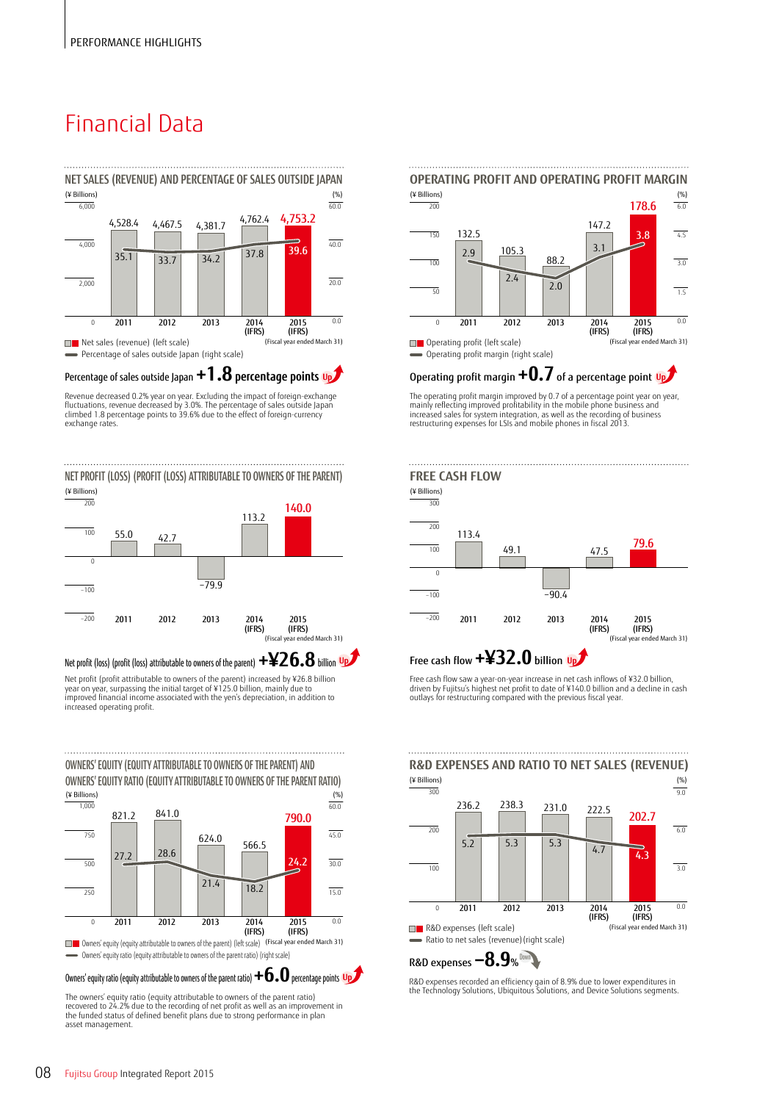# Financial Data



Percentage of sales outside Japan **+1.8 percentage points Up**

Revenue decreased 0.2% year on year. Excluding the impact of foreign-exchange<br>fluctuations, revenue decreased by 3.0%. The percentage of sales outside Japan<br>climbed 1.8 percentage points to 39.6% due to the effect of forei exchange rates.

**NET PROFIT (LOSS) (PROFIT (LOSS) ATTRIBUTABLE TO OWNERS OF THE PARENT)** 



Net profit (profit attributable to owners of the parent) increased by ¥26.8 billion year on year, surpassing the initial target of ¥125.0 billion, mainly due to improved financial income associated with the yen's depreciation, in addition to Net profit (loss) (profit (loss) attributable to owners of the parent) **+¥26.8** billion



The owners' equity ratio (equity attributable to owners of the parent ratio) recovered to 24.2% due to the recording of net profit as well as an improvement in the funded status of defined benefit plans due to strong performance in plan asset management.



Operating profit margin **+0.7** of a percentage point **Up**

The operating profit margin improved by 0.7 of a percentage point year on year,<br>mainly reflecting improved profitability in the mobile phone business and<br>increased sales for system integration, as well as the recording of restructuring expenses for LSIs and mobile phones in fiscal 2013.



## Up<sup>t</sup> Free cash flow  $+432.0$  billion Up

Free cash flow saw a year-on-year increase in net cash inflows of ¥32.0 billion, driven by Fujitsu's highest net profit to date of ¥140.0 billion and a decline in cash outlays for restructuring compared with the previous fiscal year.



## R&D expenses **−8.9**% **Down**

R&D expenses recorded an efficiency gain of 8.9% due to lower expenditures in the Technology Solutions, Ubiquitous Solutions, and Device Solutions segments.

increased operating profit.